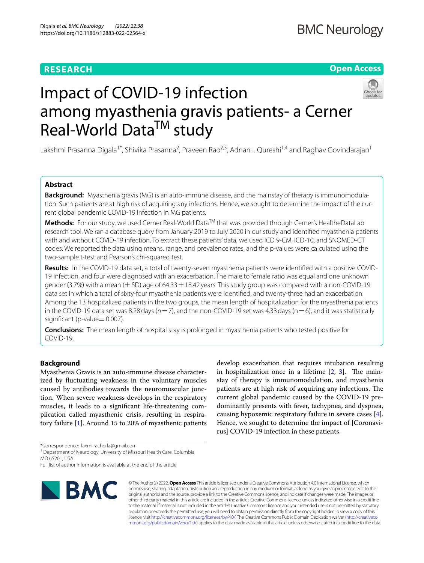# **RESEARCH**

# **Open Access**



# Impact of COVID-19 infection among myasthenia gravis patients- a Cerner Real-World Data<sup>TM</sup> study

Lakshmi Prasanna Digala<sup>1\*</sup>, Shivika Prasanna<sup>2</sup>, Praveen Rao<sup>2,3</sup>, Adnan I. Qureshi<sup>1,4</sup> and Raghav Govindarajan<sup>1</sup>

# **Abstract**

**Background:** Myasthenia gravis (MG) is an auto-immune disease, and the mainstay of therapy is immunomodulation. Such patients are at high risk of acquiring any infections. Hence, we sought to determine the impact of the current global pandemic COVID-19 infection in MG patients.

**Methods:** For our study, we used Cerner Real-World Data™ that was provided through Cerner's HealtheDataLab research tool. We ran a database query from January 2019 to July 2020 in our study and identifed myasthenia patients with and without COVID-19 infection. To extract these patients' data, we used ICD 9-CM, ICD-10, and SNOMED-CT codes. We reported the data using means, range, and prevalence rates, and the p-values were calculated using the two-sample t-test and Pearson's chi-squared test.

**Results:** In the COVID-19 data set, a total of twenty-seven myasthenia patients were identifed with a positive COVID-19 infection, and four were diagnosed with an exacerbation. The male to female ratio was equal and one unknown gender (3.7%) with a mean ( $\pm$  SD) age of 64.33  $\pm$  18.42 years. This study group was compared with a non-COVID-19 data set in which a total of sixty-four myasthenia patients were identifed, and twenty-three had an exacerbation. Among the 13 hospitalized patients in the two groups, the mean length of hospitalization for the myasthenia patients in the COVID-19 data set was 8.28 days ( $n=7$ ), and the non-COVID-19 set was 4.33 days ( $n=6$ ), and it was statistically significant (p-value= 0.007).

**Conclusions:** The mean length of hospital stay is prolonged in myasthenia patients who tested positive for COVID-19.

# **Background**

Myasthenia Gravis is an auto-immune disease characterized by fuctuating weakness in the voluntary muscles caused by antibodies towards the neuromuscular junction. When severe weakness develops in the respiratory muscles, it leads to a signifcant life-threatening complication called myasthenic crisis, resulting in respiratory failure [\[1\]](#page-3-0). Around 15 to 20% of myasthenic patients

develop exacerbation that requires intubation resulting in hospitalization once in a lifetime  $[2, 3]$  $[2, 3]$  $[2, 3]$  $[2, 3]$ . The mainstay of therapy is immunomodulation, and myasthenia patients are at high risk of acquiring any infections. The current global pandemic caused by the COVID-19 predominantly presents with fever, tachypnea, and dyspnea, causing hypoxemic respiratory failure in severe cases [\[4](#page-3-3)]. Hence, we sought to determine the impact of [Coronavirus] COVID-19 infection in these patients.

Full list of author information is available at the end of the article



© The Author(s) 2022. **Open Access** This article is licensed under a Creative Commons Attribution 4.0 International License, which permits use, sharing, adaptation, distribution and reproduction in any medium or format, as long as you give appropriate credit to the original author(s) and the source, provide a link to the Creative Commons licence, and indicate if changes were made. The images or other third party material in this article are included in the article's Creative Commons licence, unless indicated otherwise in a credit line to the material. If material is not included in the article's Creative Commons licence and your intended use is not permitted by statutory regulation or exceeds the permitted use, you will need to obtain permission directly from the copyright holder. To view a copy of this licence, visit [http://creativecommons.org/licenses/by/4.0/.](http://creativecommons.org/licenses/by/4.0/) The Creative Commons Public Domain Dedication waiver ([http://creativeco](http://creativecommons.org/publicdomain/zero/1.0/) [mmons.org/publicdomain/zero/1.0/](http://creativecommons.org/publicdomain/zero/1.0/)) applies to the data made available in this article, unless otherwise stated in a credit line to the data.

<sup>\*</sup>Correspondence: laxmi.racherla@gmail.com

<sup>&</sup>lt;sup>1</sup> Department of Neurology, University of Missouri Health Care, Columbia, MO 65201, USA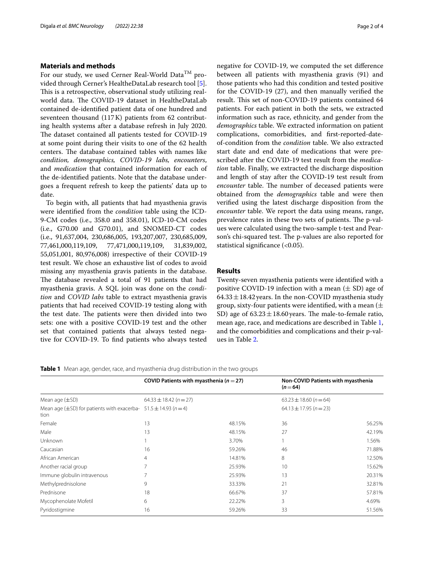# **Materials and methods**

For our study, we used Cerner Real-World Data<sup>TM</sup> provided through Cerner's HealtheDataLab research tool [\[5](#page-3-4)]. This is a retrospective, observational study utilizing realworld data. The COVID-19 dataset in HealtheDataLab contained de-identifed patient data of one hundred and seventeen thousand (117K) patients from 62 contributing health systems after a database refresh in July 2020. The dataset contained all patients tested for COVID-19 at some point during their visits to one of the 62 health centers. The database contained tables with names like *condition, demographics, COVID-19 labs, encounters*, and *medication* that contained information for each of the de-identifed patients. Note that the database undergoes a frequent refresh to keep the patients' data up to date.

To begin with, all patients that had myasthenia gravis were identifed from the *condition* table using the ICD-9-CM codes (i.e., 358.0 and 358.01), ICD-10-CM codes (i.e., G70.00 and G70.01), and SNOMED-CT codes (i.e., 91,637,004, 230,686,005, 193,207,007, 230,685,009, 77,461,000,119,109, 77,471,000,119,109, 31,839,002, 55,051,001, 80,976,008) irrespective of their COVID-19 test result. We chose an exhaustive list of codes to avoid missing any myasthenia gravis patients in the database. The database revealed a total of 91 patients that had myasthenia gravis. A SQL join was done on the *condition* and *COVID labs* table to extract myasthenia gravis patients that had received COVID-19 testing along with the test date. The patients were then divided into two sets: one with a positive COVID-19 test and the other set that contained patients that always tested negative for COVID-19. To fnd patients who always tested negative for COVID-19, we computed the set diference between all patients with myasthenia gravis (91) and those patients who had this condition and tested positive for the COVID-19 (27), and then manually verifed the result. This set of non-COVID-19 patients contained 64 patients. For each patient in both the sets, we extracted information such as race, ethnicity, and gender from the *demographics* table. We extracted information on patient complications, comorbidities, and frst-reported-dateof-condition from the *condition* table. We also extracted start date and end date of medications that were prescribed after the COVID-19 test result from the *medication* table. Finally, we extracted the discharge disposition and length of stay after the COVID-19 test result from *encounter* table. The number of deceased patients were obtained from the *demographics* table and were then verifed using the latest discharge disposition from the *encounter* table. We report the data using means, range, prevalence rates in these two sets of patients. The p-values were calculated using the two-sample t-test and Pearson's chi-squared test. The p-values are also reported for statistical signifcance (<0.05).

# **Results**

Twenty-seven myasthenia patients were identifed with a positive COVID-19 infection with a mean  $(\pm SD)$  age of  $64.33 \pm 18.42$  years. In the non-COVID myasthenia study group, sixty-four patients were identified, with a mean  $(\pm$ SD) age of  $63.23 \pm 18.60$  years. The male-to-female ratio, mean age, race, and medications are described in Table [1](#page-1-0), and the comorbidities and complications and their p-values in Table [2](#page-2-0).

## <span id="page-1-0"></span>**Table 1** Mean age, gender, race, and myasthenia drug distribution in the two groups

|                                                                                      | COVID Patients with myasthenia ( $n = 27$ )<br>$64.33 \pm 18.42 (n = 27)$ |        | $(n=64)$                   | Non-COVID Patients with myasthenia<br>$63.23 \pm 18.60$ (n = 64) |  |
|--------------------------------------------------------------------------------------|---------------------------------------------------------------------------|--------|----------------------------|------------------------------------------------------------------|--|
| Mean age $(\pm SD)$                                                                  |                                                                           |        |                            |                                                                  |  |
| Mean age ( $\pm$ SD) for patients with exacerba- 51.5 $\pm$ 14.93 ( $n$ = 4)<br>tion |                                                                           |        | $64.13 \pm 17.95 (n = 23)$ |                                                                  |  |
| Female                                                                               | 13                                                                        | 48.15% | 36                         | 56.25%                                                           |  |
| Male                                                                                 | 13                                                                        | 48.15% | 27                         | 42.19%                                                           |  |
| Unknown                                                                              |                                                                           | 3.70%  |                            | 1.56%                                                            |  |
| Caucasian                                                                            | 16                                                                        | 59.26% | 46                         | 71.88%                                                           |  |
| African American                                                                     | 4                                                                         | 14.81% | 8                          | 12.50%                                                           |  |
| Another racial group                                                                 | 7                                                                         | 25.93% | 10                         | 15.62%                                                           |  |
| Immune globulin intravenous                                                          |                                                                           | 25.93% | 13                         | 20.31%                                                           |  |
| Methylprednisolone                                                                   | 9                                                                         | 33.33% | 21                         | 32.81%                                                           |  |
| Prednisone                                                                           | 18                                                                        | 66.67% | 37                         | 57.81%                                                           |  |
| Mycophenolate Mofetil                                                                | 6                                                                         | 22.22% | 3                          | 4.69%                                                            |  |
| Pyridostigmine                                                                       | 16                                                                        | 59.26% | 33                         | 51.56%                                                           |  |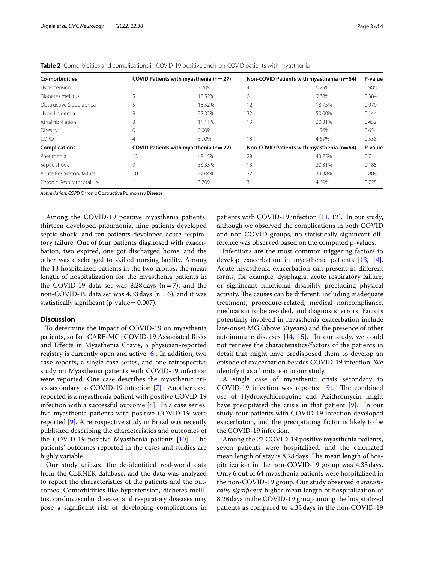| Co-morbidities              |    | COVID Patients with myasthenia (n= 27)    |    | Non-COVID Patients with myasthenia (n=64) | P-value |
|-----------------------------|----|-------------------------------------------|----|-------------------------------------------|---------|
| Hypertension                |    | 3.70%                                     | 4  | 6.25%                                     | 0.986   |
| Diabetes mellitus           |    | 18.52%                                    | 6  | 9.38%                                     | 0.384   |
| Obstructive Sleep apnea     |    | 18.52%                                    | 12 | 18.75%                                    | 0.979   |
| Hyperlipidemia              | 9  | 33.33%                                    | 32 | 50.00%                                    | 0.144   |
| Atrial fibrillation         | 3  | 11.11%                                    | 13 | 20.31%                                    | 0.452   |
| Obesity                     | 0  | 0.00%                                     |    | 1.56%                                     | 0.654   |
| COPD                        | 4  | 3.70%                                     | 13 | 4.69%                                     | 0.538   |
| <b>Complications</b>        |    | COVID Patients with myasthenia ( $n=27$ ) |    | Non-COVID Patients with myasthenia (n=64) | P-value |
| Pneumonia                   | 13 | 48.15%                                    | 28 | 43.75%                                    | 0.7     |
| Septic shock                | 9  | 33.33%                                    | 13 | 20.31%                                    | 0.185   |
| Acute Respiratory failure   | 10 | 37.04%                                    | 22 | 34.38%                                    | 0.808   |
| Chronic Respiratory failure |    | 3.70%                                     | 3  | 4.69%                                     | 0.725   |
|                             |    |                                           |    |                                           |         |

<span id="page-2-0"></span>**Table 2** Comorbidities and complications in COVID-19 positive and non-COVID patients with myasthenia

*Abbreviation: COPD* Chronic Obstructive Pulmonary Disease

Among the COVID-19 positive myasthenia patients, thirteen developed pneumonia, nine patients developed septic shock, and ten patients developed acute respiratory failure. Out of four patients diagnosed with exacerbation, two expired, one got discharged home, and the other was discharged to skilled nursing facility. Among the 13 hospitalized patients in the two groups, the mean length of hospitalization for the myasthenia patients in the COVID-19 data set was 8.28 days  $(n=7)$ , and the non-COVID-19 data set was 4.33 days  $(n=6)$ , and it was statistically significant (p-value= 0.007).

# **Discussion**

 To determine the impact of COVID-19 on myasthenia patients, so far [CARE-MG] COVID-19 Associated Risks and Efects in Myasthenia Gravis, a physician-reported registry is currently open and active  $[6]$  $[6]$ . In addition, two case reports, a single case series, and one retrospective study on Myasthenia patients with COVID-19 infection were reported. One case describes the myasthenic crisis secondary to COVID-19 infection [[7\]](#page-3-6). Another case reported is a myasthenia patient with positive COVID-19 infection with a successful outcome [[8\]](#page-3-7). In a case series, fve myasthenia patients with positive COVID-19 were reported [\[9](#page-3-8)]. A retrospective study in Brazil was recently published describing the characteristics and outcomes of the COVID-19 positive Myasthenia patients  $[10]$  $[10]$ . The patients' outcomes reported in the cases and studies are highly variable.

Our study utilized the de-identifed real-world data from the CERNER database, and the data was analyzed to report the characteristics of the patients and the outcomes. Comorbidities like hypertension, diabetes mellitus, cardiovascular disease, and respiratory diseases may pose a signifcant risk of developing complications in

patients with COVID-19 infection [\[11](#page-3-10), [12\]](#page-3-11). In our study, although we observed the complications in both COVID and non-COVID groups, no statistically signifcant difference was observed based on the computed p-values.

Infections are the most common triggering factors to develop exacerbation in myasthenia patients [[13,](#page-3-12) [14](#page-3-13)]. Acute myasthenia exacerbation can present in diferent forms, for example, dysphagia, acute respiratory failure, or signifcant functional disability precluding physical activity. The causes can be different, including inadequate treatment, procedure-related, medical noncompliance, medication to be avoided, and diagnostic errors. Factors potentially involved in myasthenia exacerbation include late-onset MG (above 50years) and the presence of other autoimmune diseases [[14](#page-3-13), [15\]](#page-3-14). In our study, we could not retrieve the characteristics/factors of the patients in detail that might have predisposed them to develop an episode of exacerbation besides COVID-19 infection. We identify it as a limitation to our study.

A single case of myasthenic crisis secondary to COVID-19 infection was reported  $[9]$  $[9]$ . The combined use of Hydroxychloroquine and Azithromycin might have precipitated the crisis in that patient [[9\]](#page-3-8). In our study, four patients with COVID-19 infection developed exacerbation, and the precipitating factor is likely to be the COVID-19 infection.

Among the 27 COVID-19 positive myasthenia patients, seven patients were hospitalized, and the calculated mean length of stay is 8.28 days. The mean length of hospitalization in the non-COVID-19 group was 4.33days. Only 6 out of 64 myasthenia patients were hospitalized in the non-COVID-19 group. Our study observed *a statistically signifcant* higher mean length of hospitalization of 8.28days in the COVID-19 group among the hospitalized patients as compared to 4.33days in the non-COVID-19